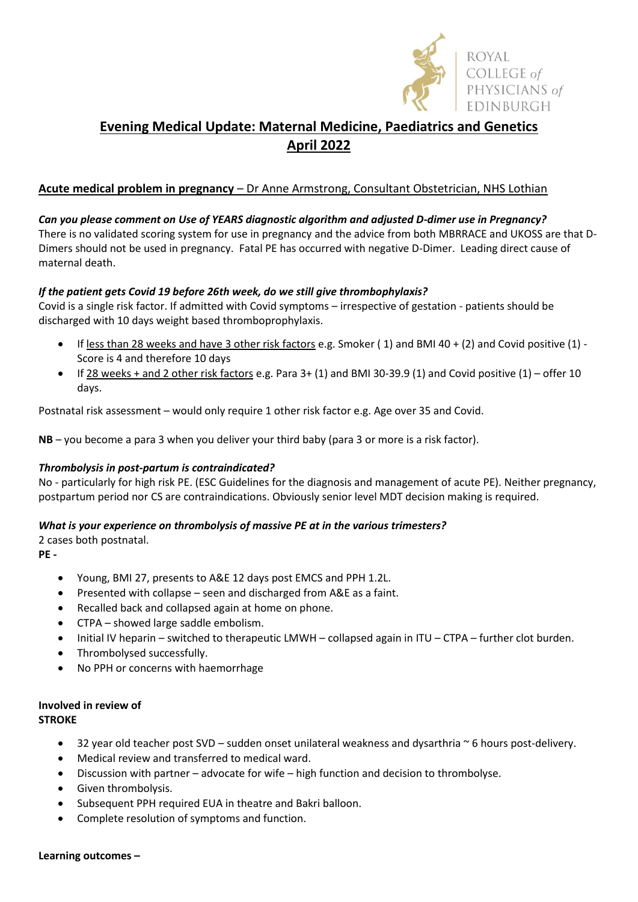

# **Evening Medical Update: Maternal Medicine, Paediatrics and Genetics April 2022**

## **Acute medical problem in pregnancy** – Dr Anne Armstrong, Consultant Obstetrician, NHS Lothian

#### *Can you please comment on Use of YEARS diagnostic algorithm and adjusted D-dimer use in Pregnancy?* There is no validated scoring system for use in pregnancy and the advice from both MBRRACE and UKOSS are that D-Dimers should not be used in pregnancy. Fatal PE has occurred with negative D-Dimer. Leading direct cause of maternal death.

## *If the patient gets Covid 19 before 26th week, do we still give thrombophylaxis?*

Covid is a single risk factor. If admitted with Covid symptoms – irrespective of gestation - patients should be discharged with 10 days weight based thromboprophylaxis.

- If less than 28 weeks and have 3 other risk factors e.g. Smoker ( 1) and BMI 40 + (2) and Covid positive (1) Score is 4 and therefore 10 days
- $\bullet$  If 28 weeks + and 2 other risk factors e.g. Para 3+ (1) and BMI 30-39.9 (1) and Covid positive (1) offer 10 days.

Postnatal risk assessment – would only require 1 other risk factor e.g. Age over 35 and Covid.

**NB** – you become a para 3 when you deliver your third baby (para 3 or more is a risk factor).

## *Thrombolysis in post-partum is contraindicated?*

No - particularly for high risk PE. (ESC Guidelines for the diagnosis and management of acute PE). Neither pregnancy, postpartum period nor CS are contraindications. Obviously senior level MDT decision making is required.

## *What is your experience on thrombolysis of massive PE at in the various trimesters?*

2 cases both postnatal.

**PE -**

- Young, BMI 27, presents to A&E 12 days post EMCS and PPH 1.2L.
- Presented with collapse seen and discharged from A&E as a faint.
- Recalled back and collapsed again at home on phone.
- CTPA showed large saddle embolism.
- Initial IV heparin switched to therapeutic LMWH collapsed again in ITU CTPA further clot burden.
- Thrombolysed successfully.
- No PPH or concerns with haemorrhage

#### **Involved in review of STROKE**

- 32 year old teacher post SVD sudden onset unilateral weakness and dysarthria ~ 6 hours post-delivery.
- Medical review and transferred to medical ward.
- Discussion with partner advocate for wife high function and decision to thrombolyse.
- Given thrombolysis.
- Subsequent PPH required EUA in theatre and Bakri balloon.
- Complete resolution of symptoms and function.

#### **Learning outcomes –**